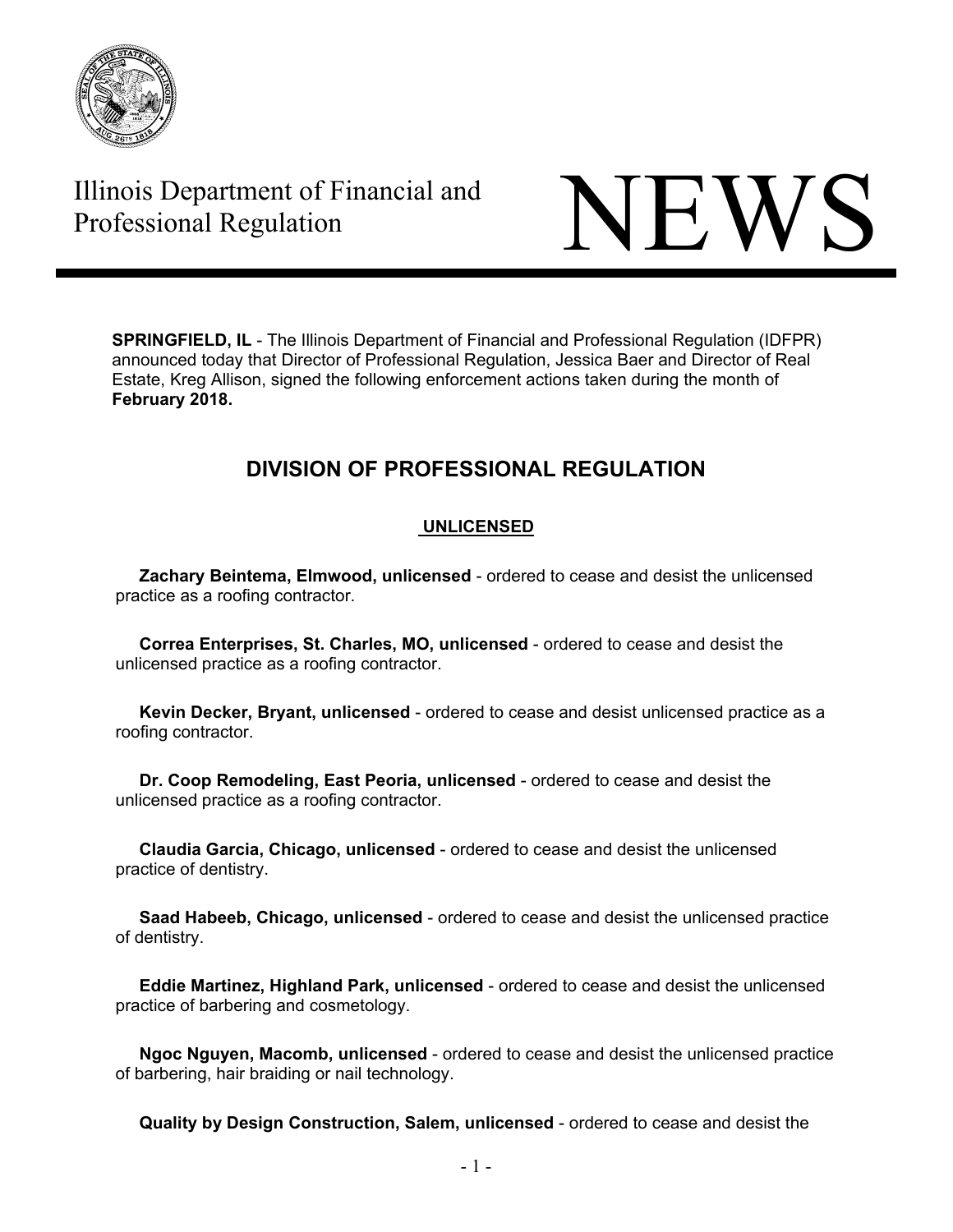

# Illinois Department of Financial and



**SPRINGFIELD, IL** - The Illinois Department of Financial and Professional Regulation (IDFPR) announced today that Director of Professional Regulation, Jessica Baer and Director of Real Estate, Kreg Allison, signed the following enforcement actions taken during the month of **February 2018.** 

## **DIVISION OF PROFESSIONAL REGULATION**

#### **UNLICENSED**

 **Zachary Beintema, Elmwood, unlicensed** - ordered to cease and desist the unlicensed practice as a roofing contractor.

 **Correa Enterprises, St. Charles, MO, unlicensed** - ordered to cease and desist the unlicensed practice as a roofing contractor.

 **Kevin Decker, Bryant, unlicensed** - ordered to cease and desist unlicensed practice as a roofing contractor.

 **Dr. Coop Remodeling, East Peoria, unlicensed** - ordered to cease and desist the unlicensed practice as a roofing contractor.

 **Claudia Garcia, Chicago, unlicensed** - ordered to cease and desist the unlicensed practice of dentistry.

 **Saad Habeeb, Chicago, unlicensed** - ordered to cease and desist the unlicensed practice of dentistry.

 **Eddie Martinez, Highland Park, unlicensed** - ordered to cease and desist the unlicensed practice of barbering and cosmetology.

 **Ngoc Nguyen, Macomb, unlicensed** - ordered to cease and desist the unlicensed practice of barbering, hair braiding or nail technology.

**Quality by Design Construction, Salem, unlicensed** - ordered to cease and desist the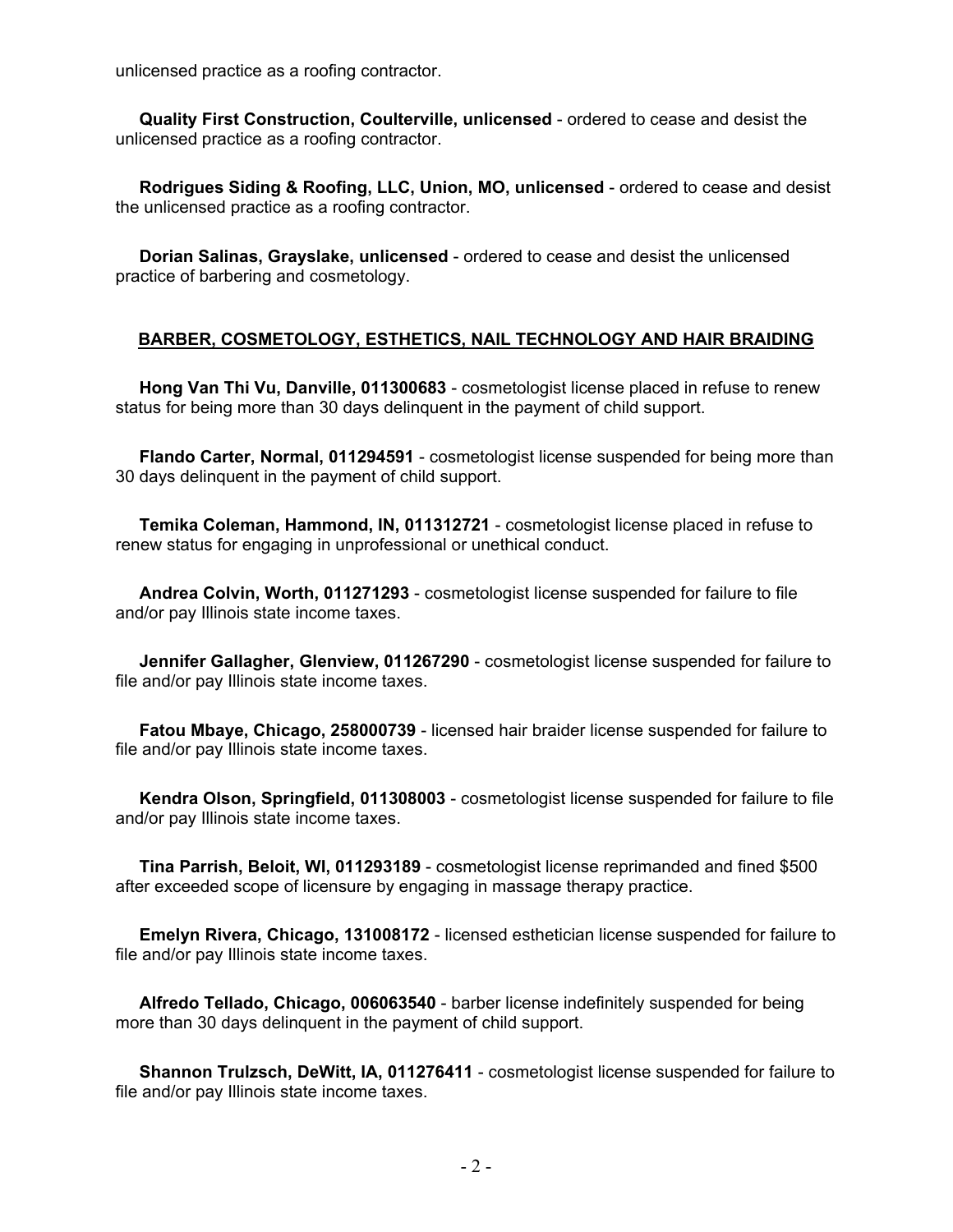unlicensed practice as a roofing contractor.

 **Quality First Construction, Coulterville, unlicensed** - ordered to cease and desist the unlicensed practice as a roofing contractor.

 **Rodrigues Siding & Roofing, LLC, Union, MO, unlicensed** - ordered to cease and desist the unlicensed practice as a roofing contractor.

 **Dorian Salinas, Grayslake, unlicensed** - ordered to cease and desist the unlicensed practice of barbering and cosmetology.

#### **BARBER, COSMETOLOGY, ESTHETICS, NAIL TECHNOLOGY AND HAIR BRAIDING**

 **Hong Van Thi Vu, Danville, 011300683** - cosmetologist license placed in refuse to renew status for being more than 30 days delinquent in the payment of child support.

 **Flando Carter, Normal, 011294591** - cosmetologist license suspended for being more than 30 days delinquent in the payment of child support.

 **Temika Coleman, Hammond, IN, 011312721** - cosmetologist license placed in refuse to renew status for engaging in unprofessional or unethical conduct.

 **Andrea Colvin, Worth, 011271293** - cosmetologist license suspended for failure to file and/or pay Illinois state income taxes.

 **Jennifer Gallagher, Glenview, 011267290** - cosmetologist license suspended for failure to file and/or pay Illinois state income taxes.

 **Fatou Mbaye, Chicago, 258000739** - licensed hair braider license suspended for failure to file and/or pay Illinois state income taxes.

 **Kendra Olson, Springfield, 011308003** - cosmetologist license suspended for failure to file and/or pay Illinois state income taxes.

 **Tina Parrish, Beloit, WI, 011293189** - cosmetologist license reprimanded and fined \$500 after exceeded scope of licensure by engaging in massage therapy practice.

 **Emelyn Rivera, Chicago, 131008172** - licensed esthetician license suspended for failure to file and/or pay Illinois state income taxes.

 **Alfredo Tellado, Chicago, 006063540** - barber license indefinitely suspended for being more than 30 days delinquent in the payment of child support.

 **Shannon Trulzsch, DeWitt, IA, 011276411** - cosmetologist license suspended for failure to file and/or pay Illinois state income taxes.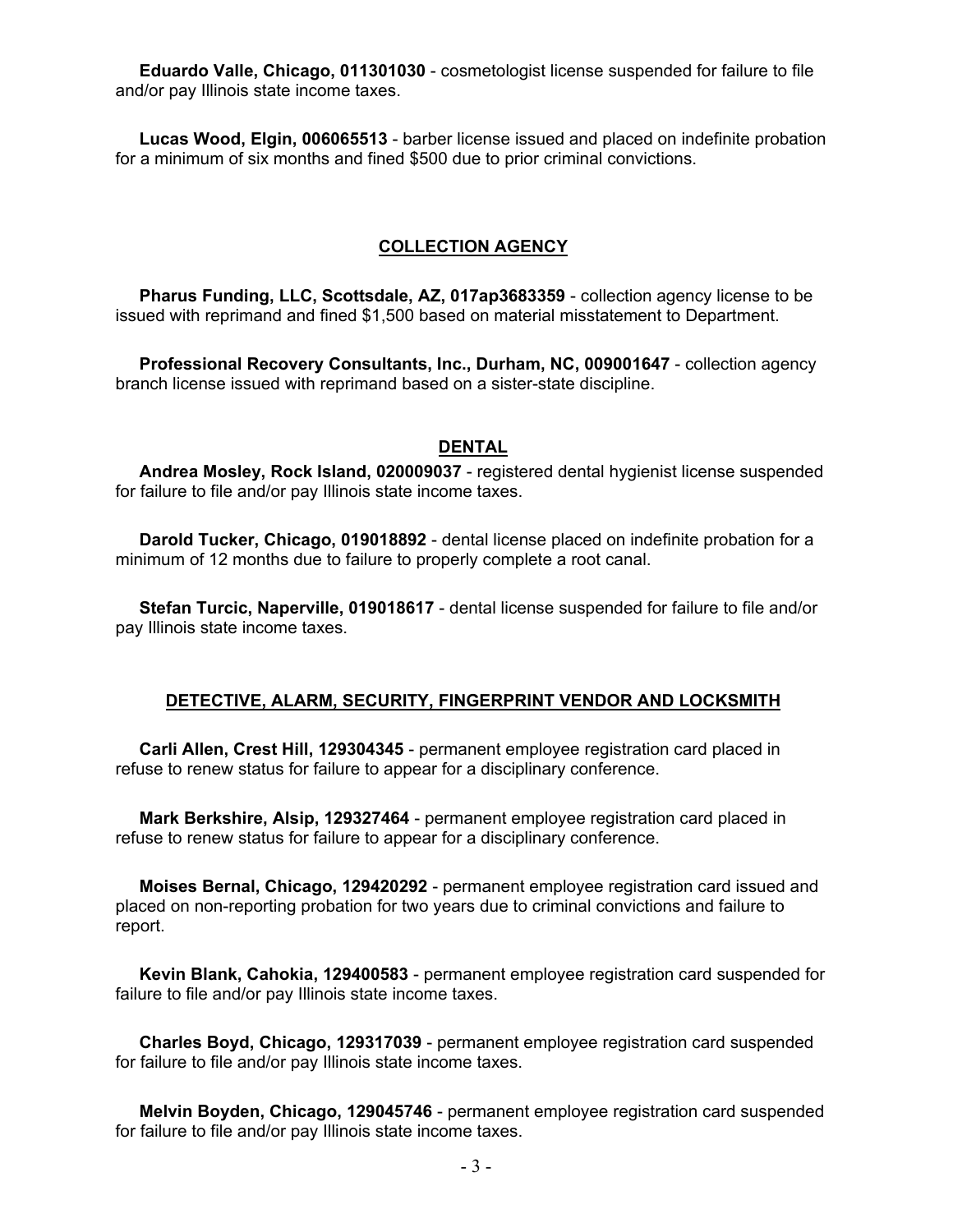**Eduardo Valle, Chicago, 011301030** - cosmetologist license suspended for failure to file and/or pay Illinois state income taxes.

 **Lucas Wood, Elgin, 006065513** - barber license issued and placed on indefinite probation for a minimum of six months and fined \$500 due to prior criminal convictions.

#### **COLLECTION AGENCY**

 **Pharus Funding, LLC, Scottsdale, AZ, 017ap3683359** - collection agency license to be issued with reprimand and fined \$1,500 based on material misstatement to Department.

 **Professional Recovery Consultants, Inc., Durham, NC, 009001647** - collection agency branch license issued with reprimand based on a sister-state discipline.

#### **DENTAL**

 **Andrea Mosley, Rock Island, 020009037** - registered dental hygienist license suspended for failure to file and/or pay Illinois state income taxes.

 **Darold Tucker, Chicago, 019018892** - dental license placed on indefinite probation for a minimum of 12 months due to failure to properly complete a root canal.

 **Stefan Turcic, Naperville, 019018617** - dental license suspended for failure to file and/or pay Illinois state income taxes.

#### **DETECTIVE, ALARM, SECURITY, FINGERPRINT VENDOR AND LOCKSMITH**

 **Carli Allen, Crest Hill, 129304345** - permanent employee registration card placed in refuse to renew status for failure to appear for a disciplinary conference.

 **Mark Berkshire, Alsip, 129327464** - permanent employee registration card placed in refuse to renew status for failure to appear for a disciplinary conference.

 **Moises Bernal, Chicago, 129420292** - permanent employee registration card issued and placed on non-reporting probation for two years due to criminal convictions and failure to report.

 **Kevin Blank, Cahokia, 129400583** - permanent employee registration card suspended for failure to file and/or pay Illinois state income taxes.

 **Charles Boyd, Chicago, 129317039** - permanent employee registration card suspended for failure to file and/or pay Illinois state income taxes.

 **Melvin Boyden, Chicago, 129045746** - permanent employee registration card suspended for failure to file and/or pay Illinois state income taxes.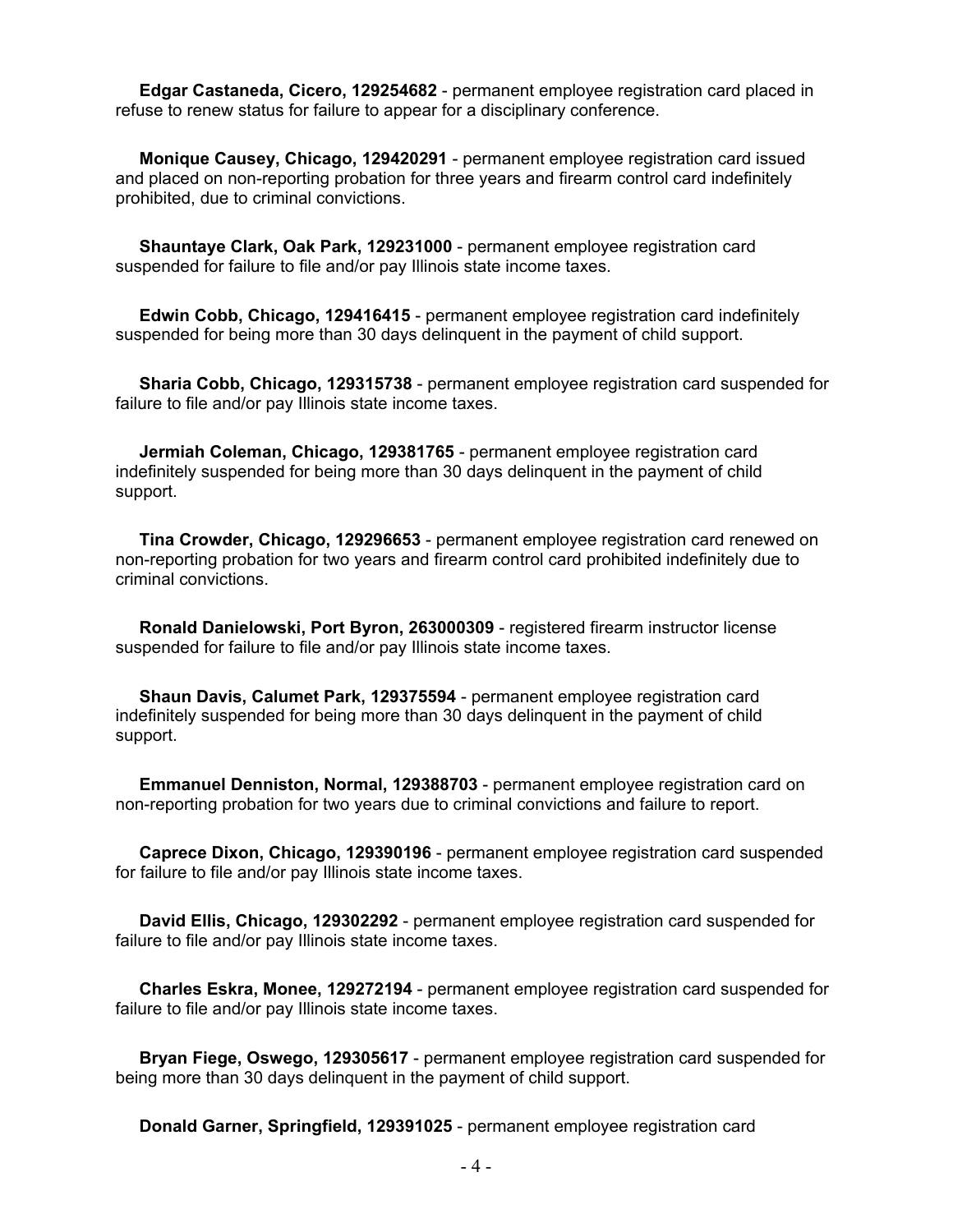**Edgar Castaneda, Cicero, 129254682** - permanent employee registration card placed in refuse to renew status for failure to appear for a disciplinary conference.

 **Monique Causey, Chicago, 129420291** - permanent employee registration card issued and placed on non-reporting probation for three years and firearm control card indefinitely prohibited, due to criminal convictions.

 **Shauntaye Clark, Oak Park, 129231000** - permanent employee registration card suspended for failure to file and/or pay Illinois state income taxes.

 **Edwin Cobb, Chicago, 129416415** - permanent employee registration card indefinitely suspended for being more than 30 days delinquent in the payment of child support.

 **Sharia Cobb, Chicago, 129315738** - permanent employee registration card suspended for failure to file and/or pay Illinois state income taxes.

 **Jermiah Coleman, Chicago, 129381765** - permanent employee registration card indefinitely suspended for being more than 30 days delinquent in the payment of child support.

 **Tina Crowder, Chicago, 129296653** - permanent employee registration card renewed on non-reporting probation for two years and firearm control card prohibited indefinitely due to criminal convictions.

 **Ronald Danielowski, Port Byron, 263000309** - registered firearm instructor license suspended for failure to file and/or pay Illinois state income taxes.

 **Shaun Davis, Calumet Park, 129375594** - permanent employee registration card indefinitely suspended for being more than 30 days delinquent in the payment of child support.

 **Emmanuel Denniston, Normal, 129388703** - permanent employee registration card on non-reporting probation for two years due to criminal convictions and failure to report.

 **Caprece Dixon, Chicago, 129390196** - permanent employee registration card suspended for failure to file and/or pay Illinois state income taxes.

 **David Ellis, Chicago, 129302292** - permanent employee registration card suspended for failure to file and/or pay Illinois state income taxes.

 **Charles Eskra, Monee, 129272194** - permanent employee registration card suspended for failure to file and/or pay Illinois state income taxes.

 **Bryan Fiege, Oswego, 129305617** - permanent employee registration card suspended for being more than 30 days delinquent in the payment of child support.

**Donald Garner, Springfield, 129391025** - permanent employee registration card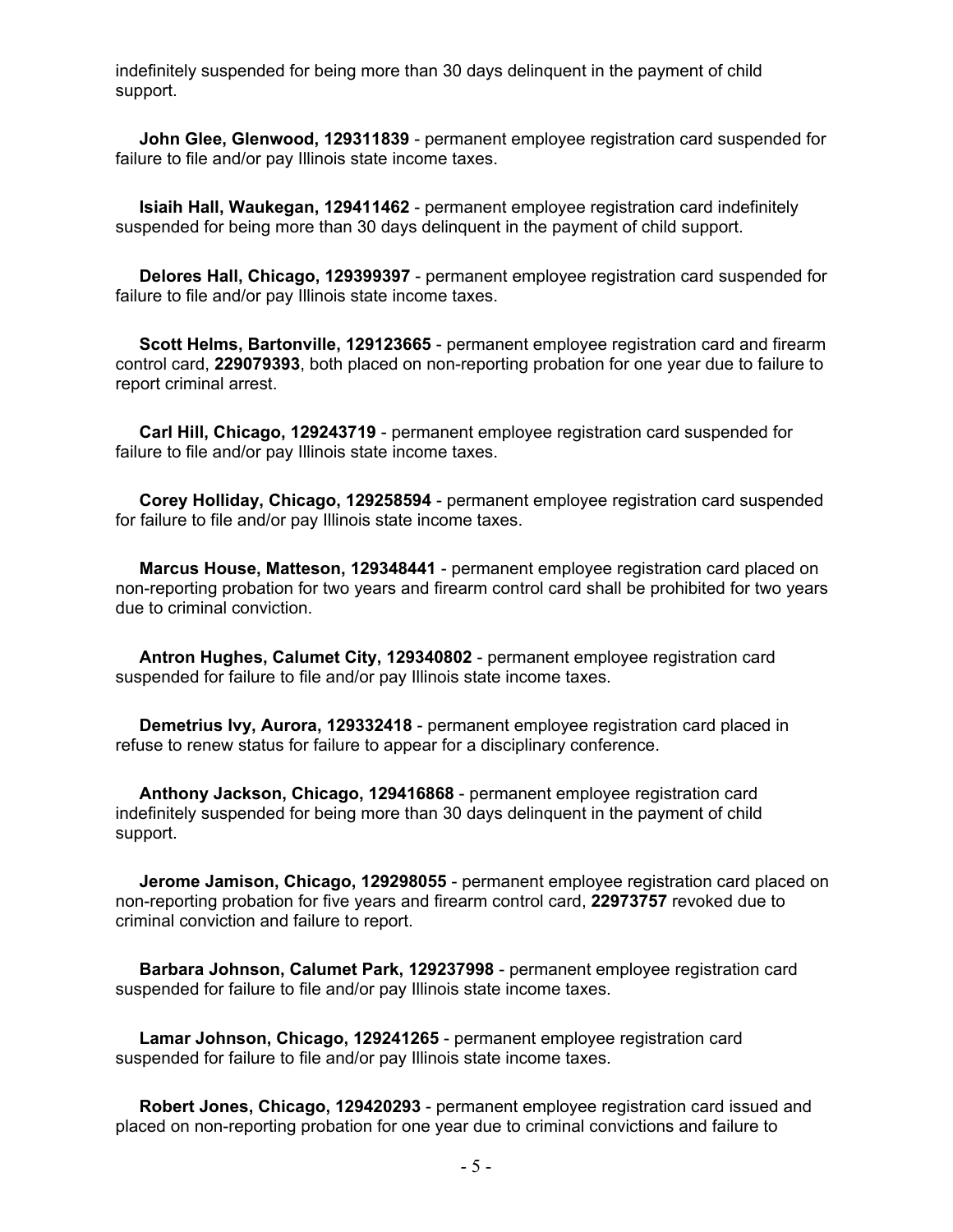indefinitely suspended for being more than 30 days delinquent in the payment of child support.

 **John Glee, Glenwood, 129311839** - permanent employee registration card suspended for failure to file and/or pay Illinois state income taxes.

 **Isiaih Hall, Waukegan, 129411462** - permanent employee registration card indefinitely suspended for being more than 30 days delinquent in the payment of child support.

 **Delores Hall, Chicago, 129399397** - permanent employee registration card suspended for failure to file and/or pay Illinois state income taxes.

 **Scott Helms, Bartonville, 129123665** - permanent employee registration card and firearm control card, **229079393**, both placed on non-reporting probation for one year due to failure to report criminal arrest.

 **Carl Hill, Chicago, 129243719** - permanent employee registration card suspended for failure to file and/or pay Illinois state income taxes.

 **Corey Holliday, Chicago, 129258594** - permanent employee registration card suspended for failure to file and/or pay Illinois state income taxes.

 **Marcus House, Matteson, 129348441** - permanent employee registration card placed on non-reporting probation for two years and firearm control card shall be prohibited for two years due to criminal conviction.

 **Antron Hughes, Calumet City, 129340802** - permanent employee registration card suspended for failure to file and/or pay Illinois state income taxes.

 **Demetrius Ivy, Aurora, 129332418** - permanent employee registration card placed in refuse to renew status for failure to appear for a disciplinary conference.

 **Anthony Jackson, Chicago, 129416868** - permanent employee registration card indefinitely suspended for being more than 30 days delinquent in the payment of child support.

 **Jerome Jamison, Chicago, 129298055** - permanent employee registration card placed on non-reporting probation for five years and firearm control card, **22973757** revoked due to criminal conviction and failure to report.

 **Barbara Johnson, Calumet Park, 129237998** - permanent employee registration card suspended for failure to file and/or pay Illinois state income taxes.

 **Lamar Johnson, Chicago, 129241265** - permanent employee registration card suspended for failure to file and/or pay Illinois state income taxes.

 **Robert Jones, Chicago, 129420293** - permanent employee registration card issued and placed on non-reporting probation for one year due to criminal convictions and failure to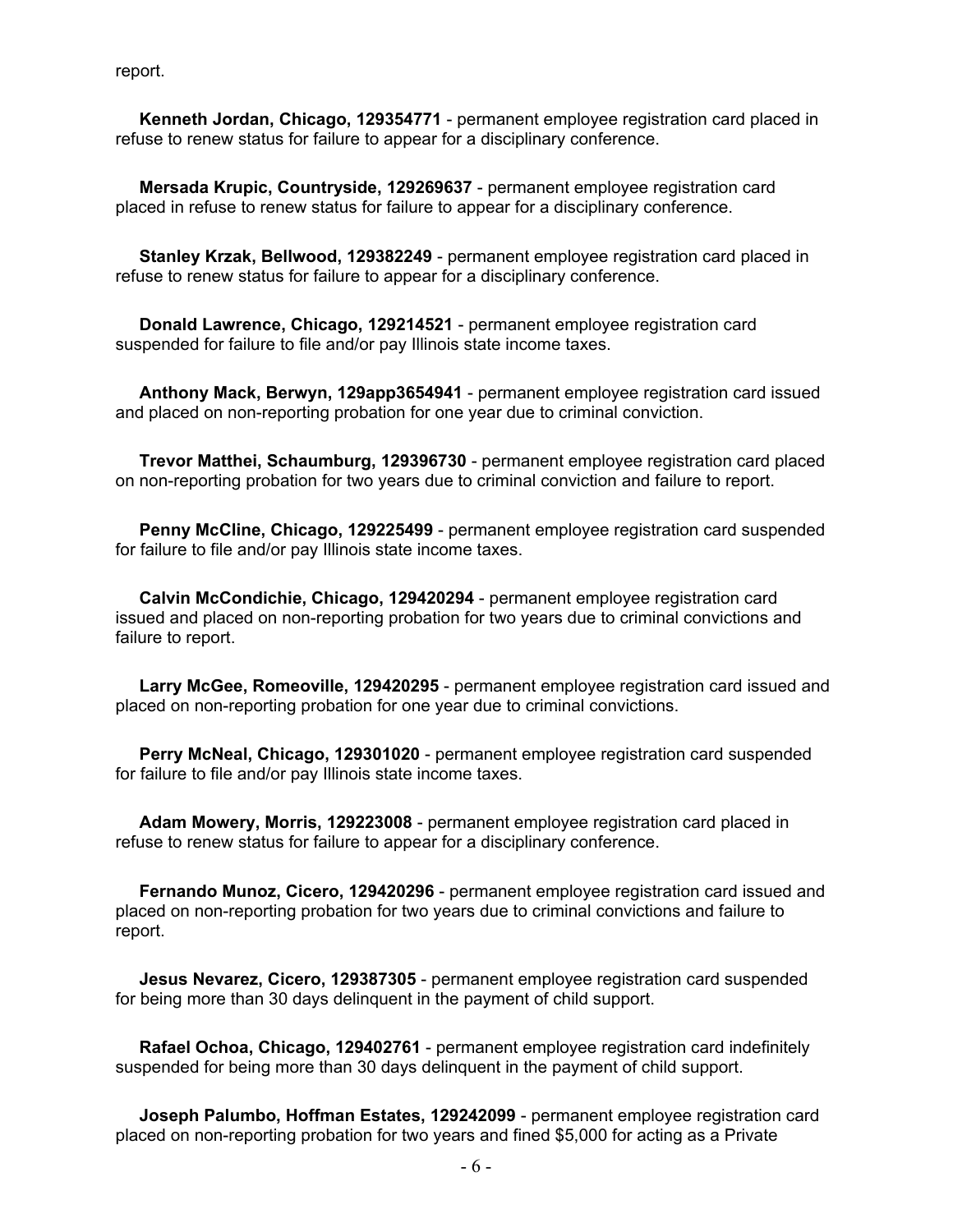report.

 **Kenneth Jordan, Chicago, 129354771** - permanent employee registration card placed in refuse to renew status for failure to appear for a disciplinary conference.

 **Mersada Krupic, Countryside, 129269637** - permanent employee registration card placed in refuse to renew status for failure to appear for a disciplinary conference.

 **Stanley Krzak, Bellwood, 129382249** - permanent employee registration card placed in refuse to renew status for failure to appear for a disciplinary conference.

 **Donald Lawrence, Chicago, 129214521** - permanent employee registration card suspended for failure to file and/or pay Illinois state income taxes.

 **Anthony Mack, Berwyn, 129app3654941** - permanent employee registration card issued and placed on non-reporting probation for one year due to criminal conviction.

 **Trevor Matthei, Schaumburg, 129396730** - permanent employee registration card placed on non-reporting probation for two years due to criminal conviction and failure to report.

 **Penny McCline, Chicago, 129225499** - permanent employee registration card suspended for failure to file and/or pay Illinois state income taxes.

 **Calvin McCondichie, Chicago, 129420294** - permanent employee registration card issued and placed on non-reporting probation for two years due to criminal convictions and failure to report.

 **Larry McGee, Romeoville, 129420295** - permanent employee registration card issued and placed on non-reporting probation for one year due to criminal convictions.

 **Perry McNeal, Chicago, 129301020** - permanent employee registration card suspended for failure to file and/or pay Illinois state income taxes.

 **Adam Mowery, Morris, 129223008** - permanent employee registration card placed in refuse to renew status for failure to appear for a disciplinary conference.

 **Fernando Munoz, Cicero, 129420296** - permanent employee registration card issued and placed on non-reporting probation for two years due to criminal convictions and failure to report.

 **Jesus Nevarez, Cicero, 129387305** - permanent employee registration card suspended for being more than 30 days delinquent in the payment of child support.

 **Rafael Ochoa, Chicago, 129402761** - permanent employee registration card indefinitely suspended for being more than 30 days delinquent in the payment of child support.

 **Joseph Palumbo, Hoffman Estates, 129242099** - permanent employee registration card placed on non-reporting probation for two years and fined \$5,000 for acting as a Private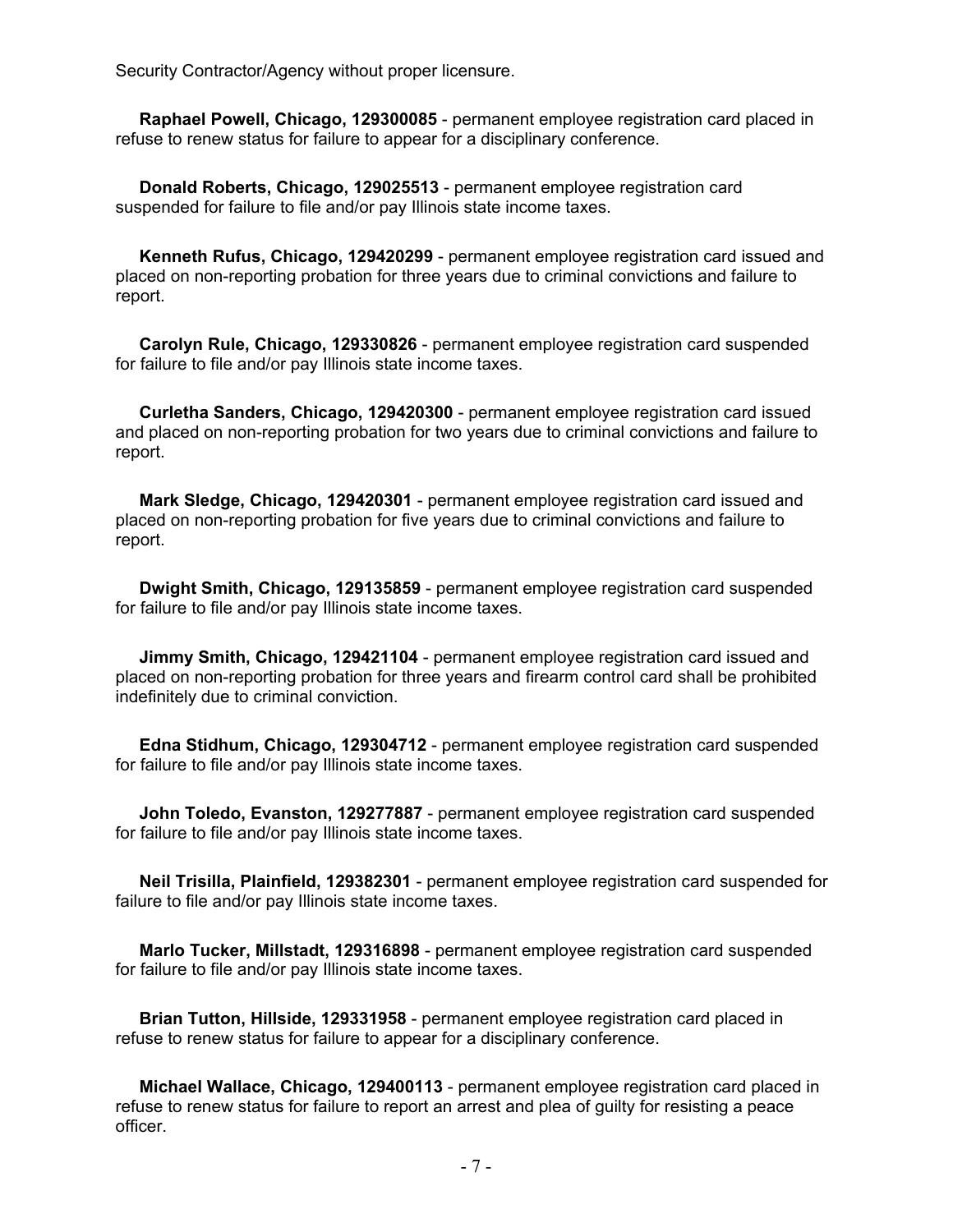Security Contractor/Agency without proper licensure.

 **Raphael Powell, Chicago, 129300085** - permanent employee registration card placed in refuse to renew status for failure to appear for a disciplinary conference.

 **Donald Roberts, Chicago, 129025513** - permanent employee registration card suspended for failure to file and/or pay Illinois state income taxes.

 **Kenneth Rufus, Chicago, 129420299** - permanent employee registration card issued and placed on non-reporting probation for three years due to criminal convictions and failure to report.

 **Carolyn Rule, Chicago, 129330826** - permanent employee registration card suspended for failure to file and/or pay Illinois state income taxes.

 **Curletha Sanders, Chicago, 129420300** - permanent employee registration card issued and placed on non-reporting probation for two years due to criminal convictions and failure to report.

 **Mark Sledge, Chicago, 129420301** - permanent employee registration card issued and placed on non-reporting probation for five years due to criminal convictions and failure to report.

 **Dwight Smith, Chicago, 129135859** - permanent employee registration card suspended for failure to file and/or pay Illinois state income taxes.

 **Jimmy Smith, Chicago, 129421104** - permanent employee registration card issued and placed on non-reporting probation for three years and firearm control card shall be prohibited indefinitely due to criminal conviction.

 **Edna Stidhum, Chicago, 129304712** - permanent employee registration card suspended for failure to file and/or pay Illinois state income taxes.

 **John Toledo, Evanston, 129277887** - permanent employee registration card suspended for failure to file and/or pay Illinois state income taxes.

 **Neil Trisilla, Plainfield, 129382301** - permanent employee registration card suspended for failure to file and/or pay Illinois state income taxes.

 **Marlo Tucker, Millstadt, 129316898** - permanent employee registration card suspended for failure to file and/or pay Illinois state income taxes.

 **Brian Tutton, Hillside, 129331958** - permanent employee registration card placed in refuse to renew status for failure to appear for a disciplinary conference.

 **Michael Wallace, Chicago, 129400113** - permanent employee registration card placed in refuse to renew status for failure to report an arrest and plea of guilty for resisting a peace officer.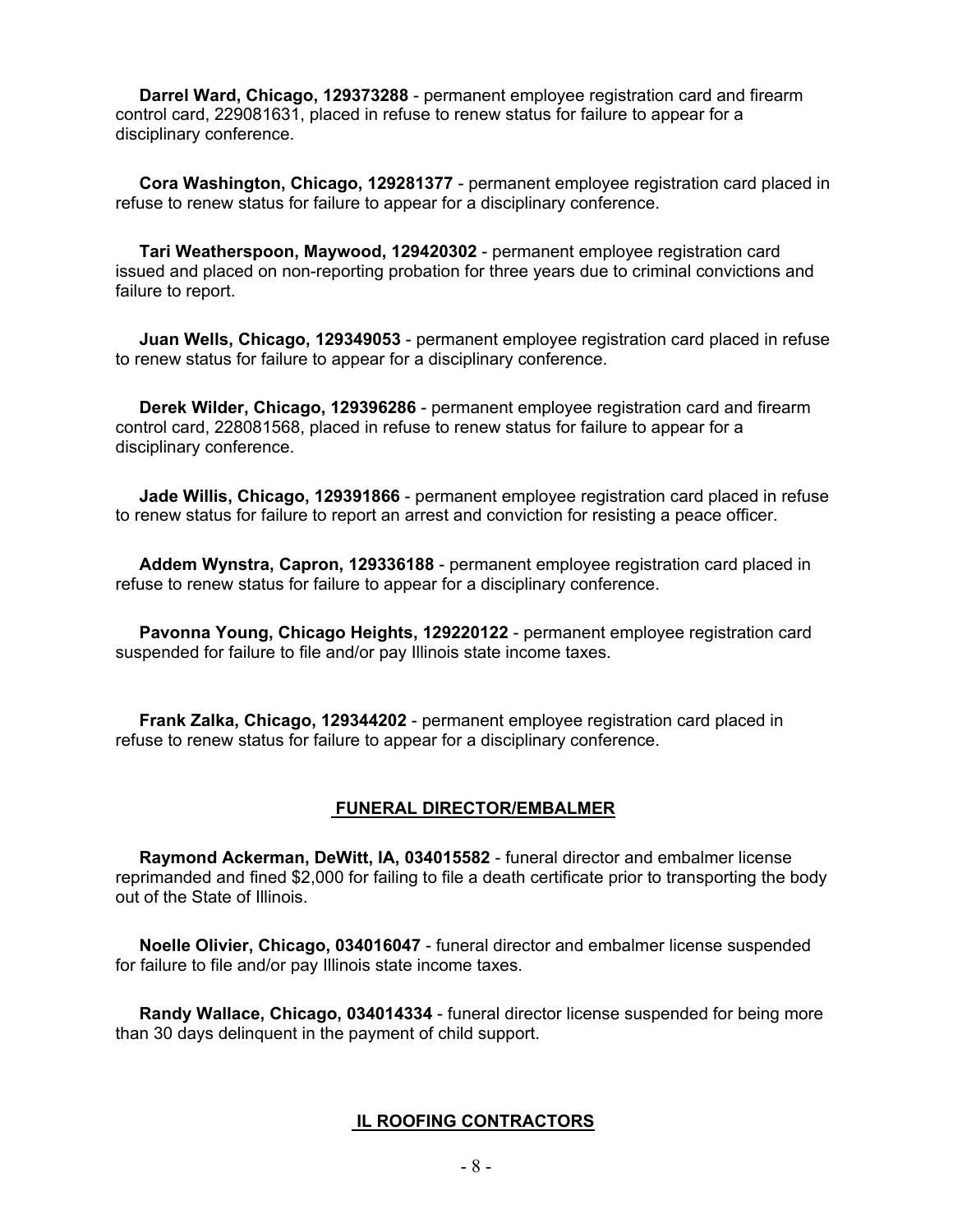**Darrel Ward, Chicago, 129373288** - permanent employee registration card and firearm control card, 229081631, placed in refuse to renew status for failure to appear for a disciplinary conference.

 **Cora Washington, Chicago, 129281377** - permanent employee registration card placed in refuse to renew status for failure to appear for a disciplinary conference.

 **Tari Weatherspoon, Maywood, 129420302** - permanent employee registration card issued and placed on non-reporting probation for three years due to criminal convictions and failure to report.

 **Juan Wells, Chicago, 129349053** - permanent employee registration card placed in refuse to renew status for failure to appear for a disciplinary conference.

 **Derek Wilder, Chicago, 129396286** - permanent employee registration card and firearm control card, 228081568, placed in refuse to renew status for failure to appear for a disciplinary conference.

 **Jade Willis, Chicago, 129391866** - permanent employee registration card placed in refuse to renew status for failure to report an arrest and conviction for resisting a peace officer.

 **Addem Wynstra, Capron, 129336188** - permanent employee registration card placed in refuse to renew status for failure to appear for a disciplinary conference.

 **Pavonna Young, Chicago Heights, 129220122** - permanent employee registration card suspended for failure to file and/or pay Illinois state income taxes.

 **Frank Zalka, Chicago, 129344202** - permanent employee registration card placed in refuse to renew status for failure to appear for a disciplinary conference.

#### **FUNERAL DIRECTOR/EMBALMER**

 **Raymond Ackerman, DeWitt, IA, 034015582** - funeral director and embalmer license reprimanded and fined \$2,000 for failing to file a death certificate prior to transporting the body out of the State of Illinois.

 **Noelle Olivier, Chicago, 034016047** - funeral director and embalmer license suspended for failure to file and/or pay Illinois state income taxes.

 **Randy Wallace, Chicago, 034014334** - funeral director license suspended for being more than 30 days delinquent in the payment of child support.

#### **IL ROOFING CONTRACTORS**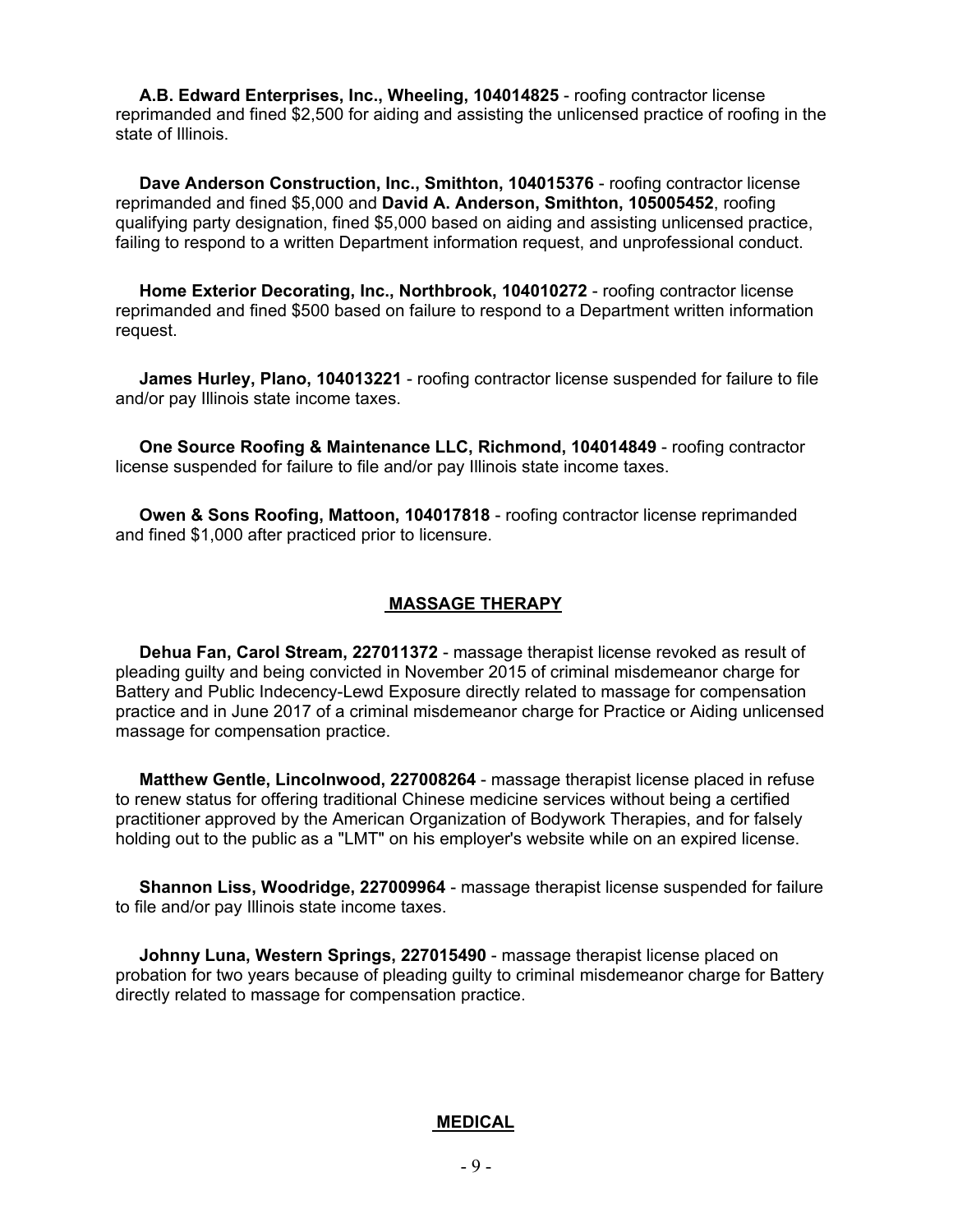**A.B. Edward Enterprises, Inc., Wheeling, 104014825** - roofing contractor license reprimanded and fined \$2,500 for aiding and assisting the unlicensed practice of roofing in the state of Illinois.

 **Dave Anderson Construction, Inc., Smithton, 104015376** - roofing contractor license reprimanded and fined \$5,000 and **David A. Anderson, Smithton, 105005452**, roofing qualifying party designation, fined \$5,000 based on aiding and assisting unlicensed practice, failing to respond to a written Department information request, and unprofessional conduct.

 **Home Exterior Decorating, Inc., Northbrook, 104010272** - roofing contractor license reprimanded and fined \$500 based on failure to respond to a Department written information request.

 **James Hurley, Plano, 104013221** - roofing contractor license suspended for failure to file and/or pay Illinois state income taxes.

 **One Source Roofing & Maintenance LLC, Richmond, 104014849** - roofing contractor license suspended for failure to file and/or pay Illinois state income taxes.

 **Owen & Sons Roofing, Mattoon, 104017818** - roofing contractor license reprimanded and fined \$1,000 after practiced prior to licensure.

#### **MASSAGE THERAPY**

 **Dehua Fan, Carol Stream, 227011372** - massage therapist license revoked as result of pleading guilty and being convicted in November 2015 of criminal misdemeanor charge for Battery and Public Indecency-Lewd Exposure directly related to massage for compensation practice and in June 2017 of a criminal misdemeanor charge for Practice or Aiding unlicensed massage for compensation practice.

 **Matthew Gentle, Lincolnwood, 227008264** - massage therapist license placed in refuse to renew status for offering traditional Chinese medicine services without being a certified practitioner approved by the American Organization of Bodywork Therapies, and for falsely holding out to the public as a "LMT" on his employer's website while on an expired license.

 **Shannon Liss, Woodridge, 227009964** - massage therapist license suspended for failure to file and/or pay Illinois state income taxes.

 **Johnny Luna, Western Springs, 227015490** - massage therapist license placed on probation for two years because of pleading guilty to criminal misdemeanor charge for Battery directly related to massage for compensation practice.

#### **MEDICAL**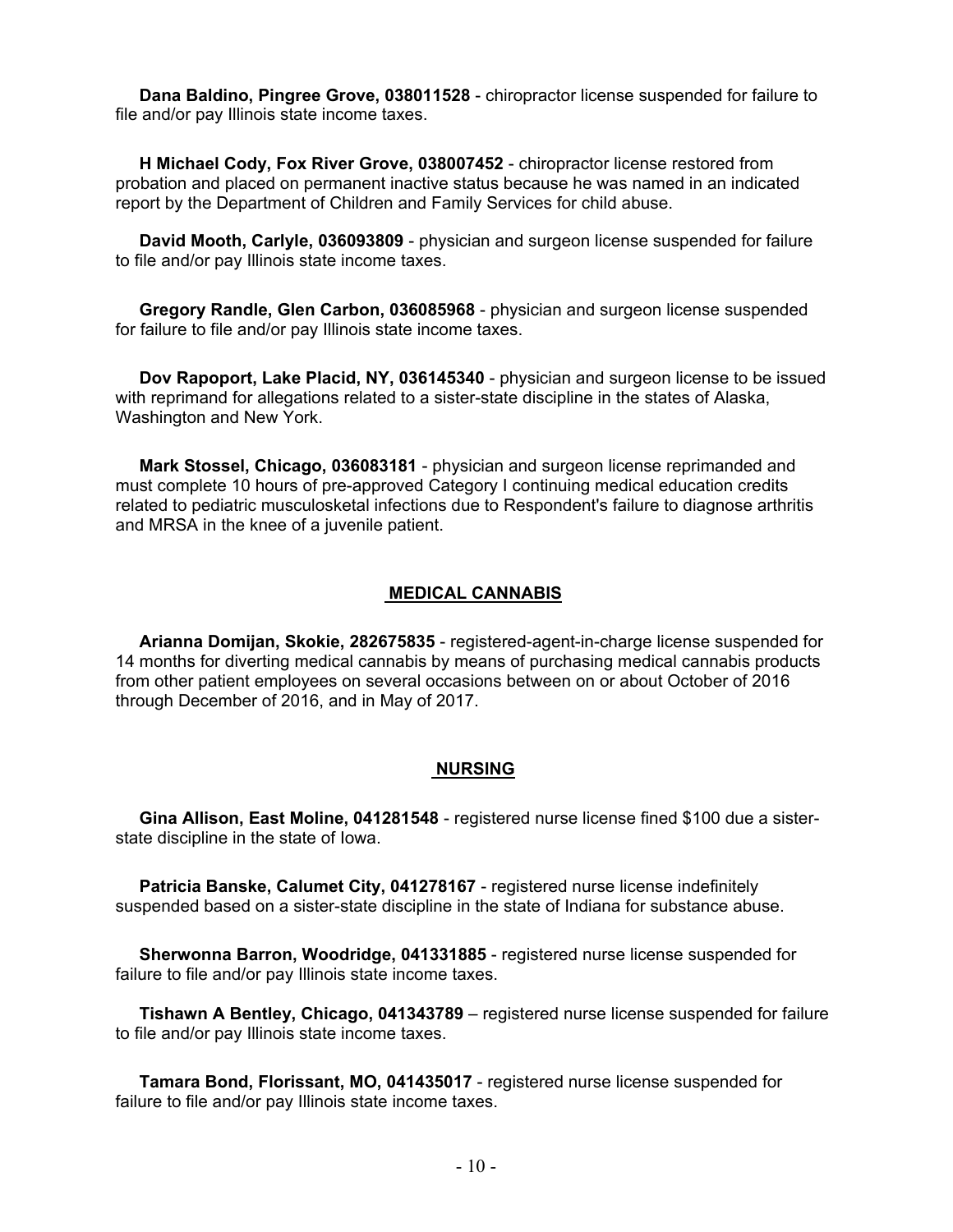**Dana Baldino, Pingree Grove, 038011528** - chiropractor license suspended for failure to file and/or pay Illinois state income taxes.

 **H Michael Cody, Fox River Grove, 038007452** - chiropractor license restored from probation and placed on permanent inactive status because he was named in an indicated report by the Department of Children and Family Services for child abuse.

 **David Mooth, Carlyle, 036093809** - physician and surgeon license suspended for failure to file and/or pay Illinois state income taxes.

 **Gregory Randle, Glen Carbon, 036085968** - physician and surgeon license suspended for failure to file and/or pay Illinois state income taxes.

 **Dov Rapoport, Lake Placid, NY, 036145340** - physician and surgeon license to be issued with reprimand for allegations related to a sister-state discipline in the states of Alaska, Washington and New York.

 **Mark Stossel, Chicago, 036083181** - physician and surgeon license reprimanded and must complete 10 hours of pre-approved Category I continuing medical education credits related to pediatric musculosketal infections due to Respondent's failure to diagnose arthritis and MRSA in the knee of a juvenile patient.

#### **MEDICAL CANNABIS**

 **Arianna Domijan, Skokie, 282675835** - registered-agent-in-charge license suspended for 14 months for diverting medical cannabis by means of purchasing medical cannabis products from other patient employees on several occasions between on or about October of 2016 through December of 2016, and in May of 2017.

#### **NURSING**

 **Gina Allison, East Moline, 041281548** - registered nurse license fined \$100 due a sisterstate discipline in the state of Iowa.

 **Patricia Banske, Calumet City, 041278167** - registered nurse license indefinitely suspended based on a sister-state discipline in the state of Indiana for substance abuse.

 **Sherwonna Barron, Woodridge, 041331885** - registered nurse license suspended for failure to file and/or pay Illinois state income taxes.

 **Tishawn A Bentley, Chicago, 041343789** – registered nurse license suspended for failure to file and/or pay Illinois state income taxes.

 **Tamara Bond, Florissant, MO, 041435017** - registered nurse license suspended for failure to file and/or pay Illinois state income taxes.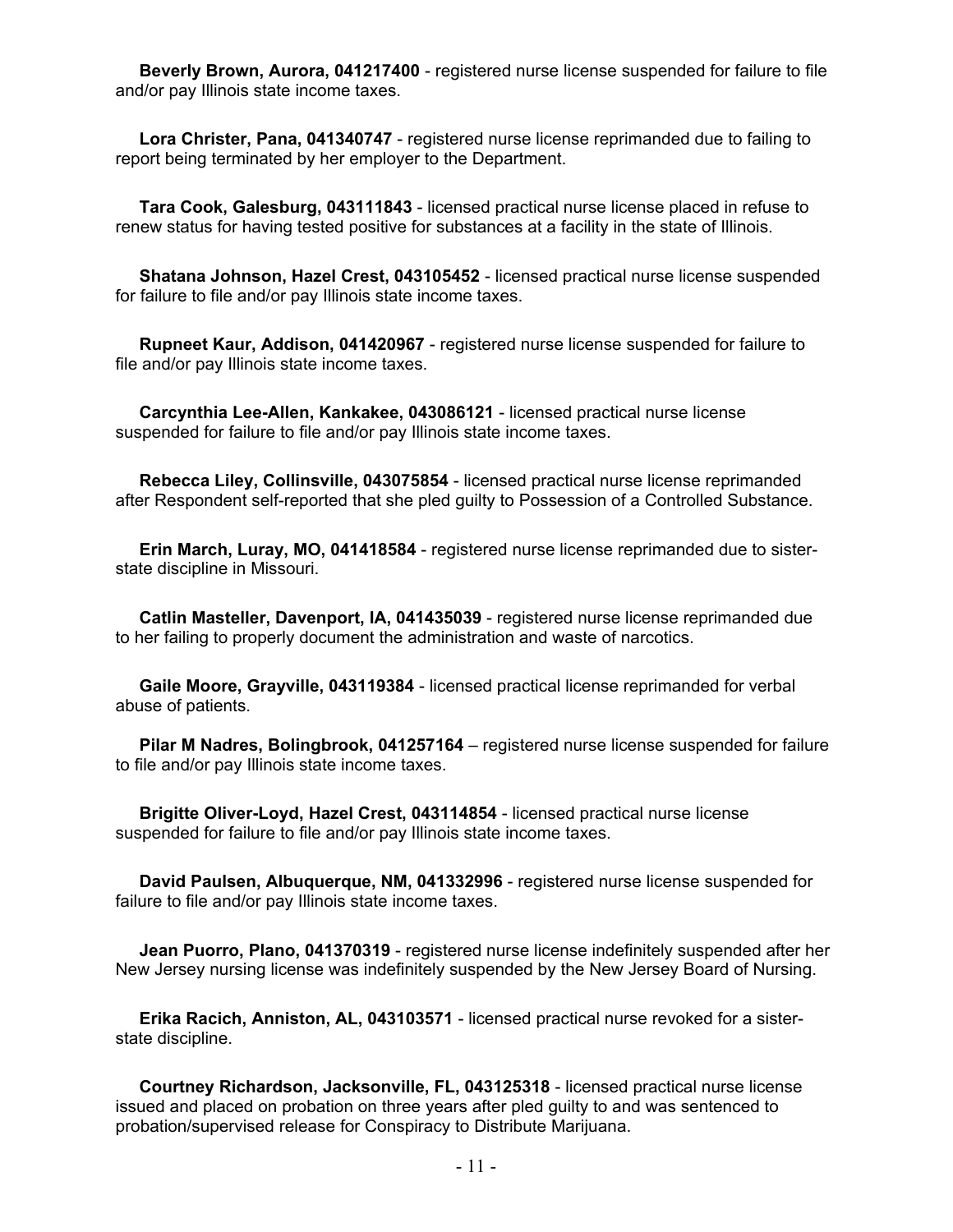**Beverly Brown, Aurora, 041217400** - registered nurse license suspended for failure to file and/or pay Illinois state income taxes.

 **Lora Christer, Pana, 041340747** - registered nurse license reprimanded due to failing to report being terminated by her employer to the Department.

 **Tara Cook, Galesburg, 043111843** - licensed practical nurse license placed in refuse to renew status for having tested positive for substances at a facility in the state of Illinois.

 **Shatana Johnson, Hazel Crest, 043105452** - licensed practical nurse license suspended for failure to file and/or pay Illinois state income taxes.

 **Rupneet Kaur, Addison, 041420967** - registered nurse license suspended for failure to file and/or pay Illinois state income taxes.

 **Carcynthia Lee-Allen, Kankakee, 043086121** - licensed practical nurse license suspended for failure to file and/or pay Illinois state income taxes.

 **Rebecca Liley, Collinsville, 043075854** - licensed practical nurse license reprimanded after Respondent self-reported that she pled guilty to Possession of a Controlled Substance.

 **Erin March, Luray, MO, 041418584** - registered nurse license reprimanded due to sisterstate discipline in Missouri.

 **Catlin Masteller, Davenport, IA, 041435039** - registered nurse license reprimanded due to her failing to properly document the administration and waste of narcotics.

 **Gaile Moore, Grayville, 043119384** - licensed practical license reprimanded for verbal abuse of patients.

 **Pilar M Nadres, Bolingbrook, 041257164** – registered nurse license suspended for failure to file and/or pay Illinois state income taxes.

 **Brigitte Oliver-Loyd, Hazel Crest, 043114854** - licensed practical nurse license suspended for failure to file and/or pay Illinois state income taxes.

 **David Paulsen, Albuquerque, NM, 041332996** - registered nurse license suspended for failure to file and/or pay Illinois state income taxes.

 **Jean Puorro, Plano, 041370319** - registered nurse license indefinitely suspended after her New Jersey nursing license was indefinitely suspended by the New Jersey Board of Nursing.

 **Erika Racich, Anniston, AL, 043103571** - licensed practical nurse revoked for a sisterstate discipline.

 **Courtney Richardson, Jacksonville, FL, 043125318** - licensed practical nurse license issued and placed on probation on three years after pled guilty to and was sentenced to probation/supervised release for Conspiracy to Distribute Marijuana.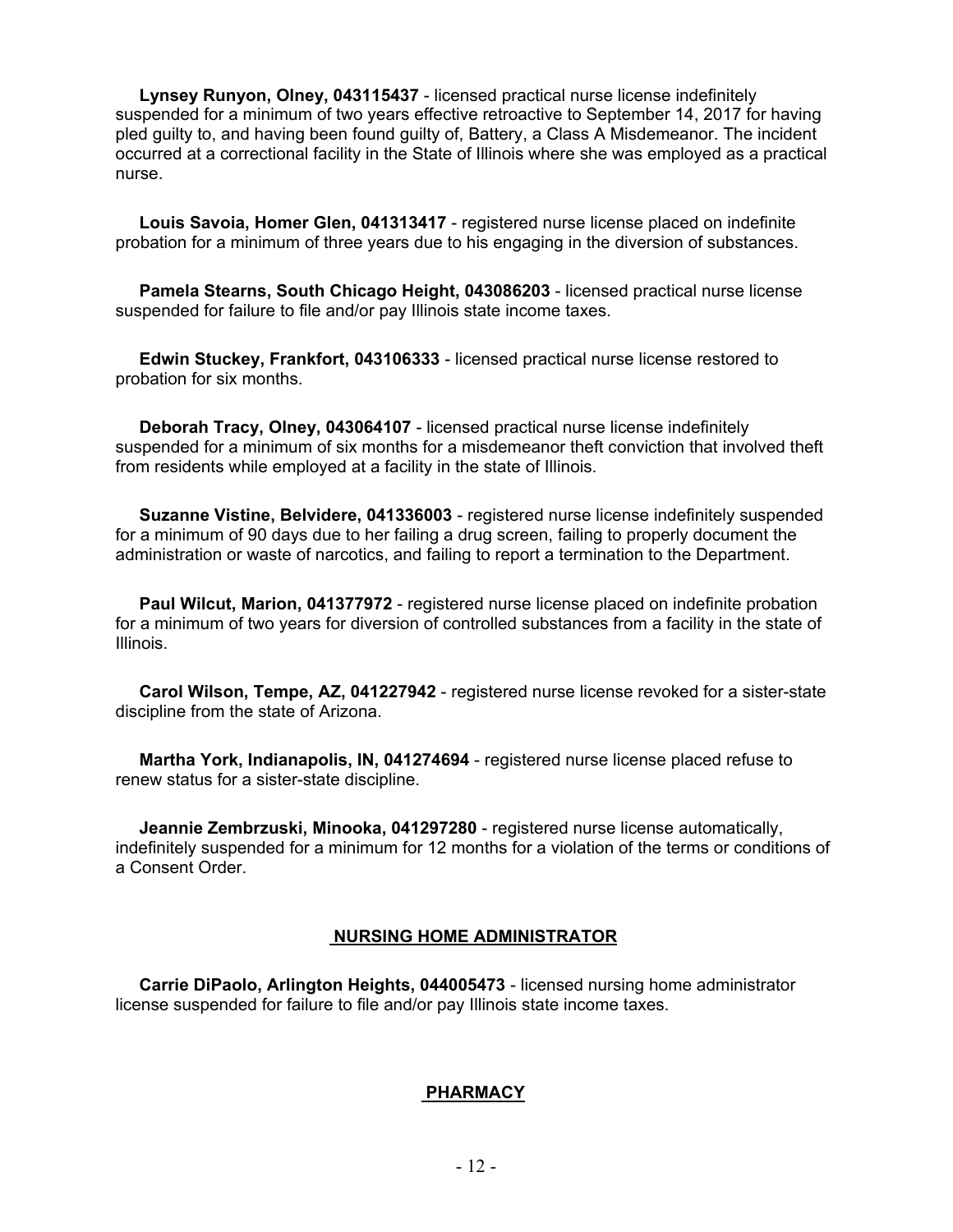**Lynsey Runyon, Olney, 043115437** - licensed practical nurse license indefinitely suspended for a minimum of two years effective retroactive to September 14, 2017 for having pled guilty to, and having been found guilty of, Battery, a Class A Misdemeanor. The incident occurred at a correctional facility in the State of Illinois where she was employed as a practical nurse.

 **Louis Savoia, Homer Glen, 041313417** - registered nurse license placed on indefinite probation for a minimum of three years due to his engaging in the diversion of substances.

 **Pamela Stearns, South Chicago Height, 043086203** - licensed practical nurse license suspended for failure to file and/or pay Illinois state income taxes.

 **Edwin Stuckey, Frankfort, 043106333** - licensed practical nurse license restored to probation for six months.

 **Deborah Tracy, Olney, 043064107** - licensed practical nurse license indefinitely suspended for a minimum of six months for a misdemeanor theft conviction that involved theft from residents while employed at a facility in the state of Illinois.

 **Suzanne Vistine, Belvidere, 041336003** - registered nurse license indefinitely suspended for a minimum of 90 days due to her failing a drug screen, failing to properly document the administration or waste of narcotics, and failing to report a termination to the Department.

 **Paul Wilcut, Marion, 041377972** - registered nurse license placed on indefinite probation for a minimum of two years for diversion of controlled substances from a facility in the state of Illinois.

 **Carol Wilson, Tempe, AZ, 041227942** - registered nurse license revoked for a sister-state discipline from the state of Arizona.

 **Martha York, Indianapolis, IN, 041274694** - registered nurse license placed refuse to renew status for a sister-state discipline.

 **Jeannie Zembrzuski, Minooka, 041297280** - registered nurse license automatically, indefinitely suspended for a minimum for 12 months for a violation of the terms or conditions of a Consent Order.

#### **NURSING HOME ADMINISTRATOR**

 **Carrie DiPaolo, Arlington Heights, 044005473** - licensed nursing home administrator license suspended for failure to file and/or pay Illinois state income taxes.

#### **PHARMACY**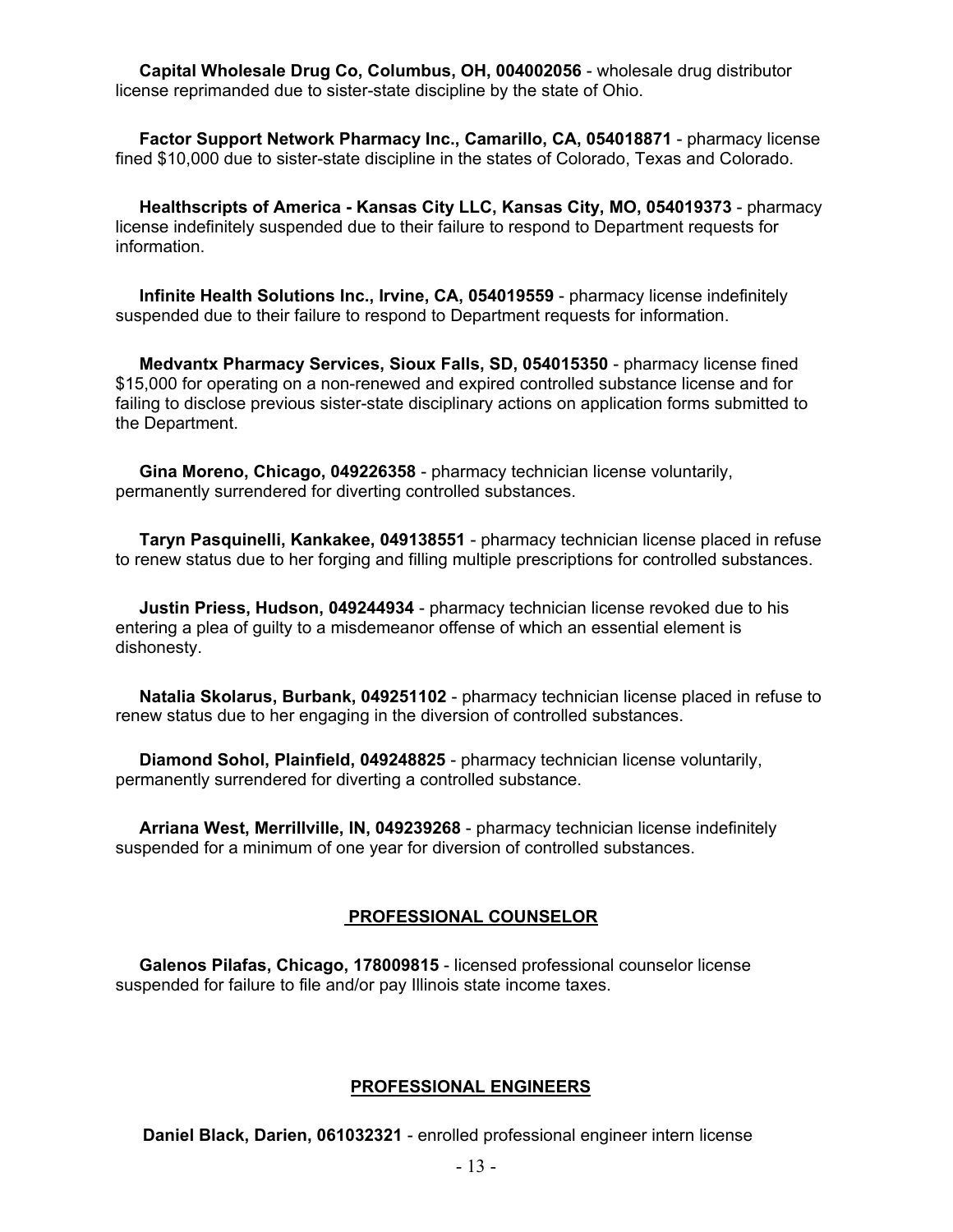**Capital Wholesale Drug Co, Columbus, OH, 004002056** - wholesale drug distributor license reprimanded due to sister-state discipline by the state of Ohio.

 **Factor Support Network Pharmacy Inc., Camarillo, CA, 054018871** - pharmacy license fined \$10,000 due to sister-state discipline in the states of Colorado, Texas and Colorado.

 **Healthscripts of America - Kansas City LLC, Kansas City, MO, 054019373** - pharmacy license indefinitely suspended due to their failure to respond to Department requests for information.

 **Infinite Health Solutions Inc., Irvine, CA, 054019559** - pharmacy license indefinitely suspended due to their failure to respond to Department requests for information.

 **Medvantx Pharmacy Services, Sioux Falls, SD, 054015350** - pharmacy license fined \$15,000 for operating on a non-renewed and expired controlled substance license and for failing to disclose previous sister-state disciplinary actions on application forms submitted to the Department.

 **Gina Moreno, Chicago, 049226358** - pharmacy technician license voluntarily, permanently surrendered for diverting controlled substances.

 **Taryn Pasquinelli, Kankakee, 049138551** - pharmacy technician license placed in refuse to renew status due to her forging and filling multiple prescriptions for controlled substances.

 **Justin Priess, Hudson, 049244934** - pharmacy technician license revoked due to his entering a plea of guilty to a misdemeanor offense of which an essential element is dishonesty.

 **Natalia Skolarus, Burbank, 049251102** - pharmacy technician license placed in refuse to renew status due to her engaging in the diversion of controlled substances.

 **Diamond Sohol, Plainfield, 049248825** - pharmacy technician license voluntarily, permanently surrendered for diverting a controlled substance.

 **Arriana West, Merrillville, IN, 049239268** - pharmacy technician license indefinitely suspended for a minimum of one year for diversion of controlled substances.

#### **PROFESSIONAL COUNSELOR**

 **Galenos Pilafas, Chicago, 178009815** - licensed professional counselor license suspended for failure to file and/or pay Illinois state income taxes.

#### **PROFESSIONAL ENGINEERS**

**Daniel Black, Darien, 061032321** - enrolled professional engineer intern license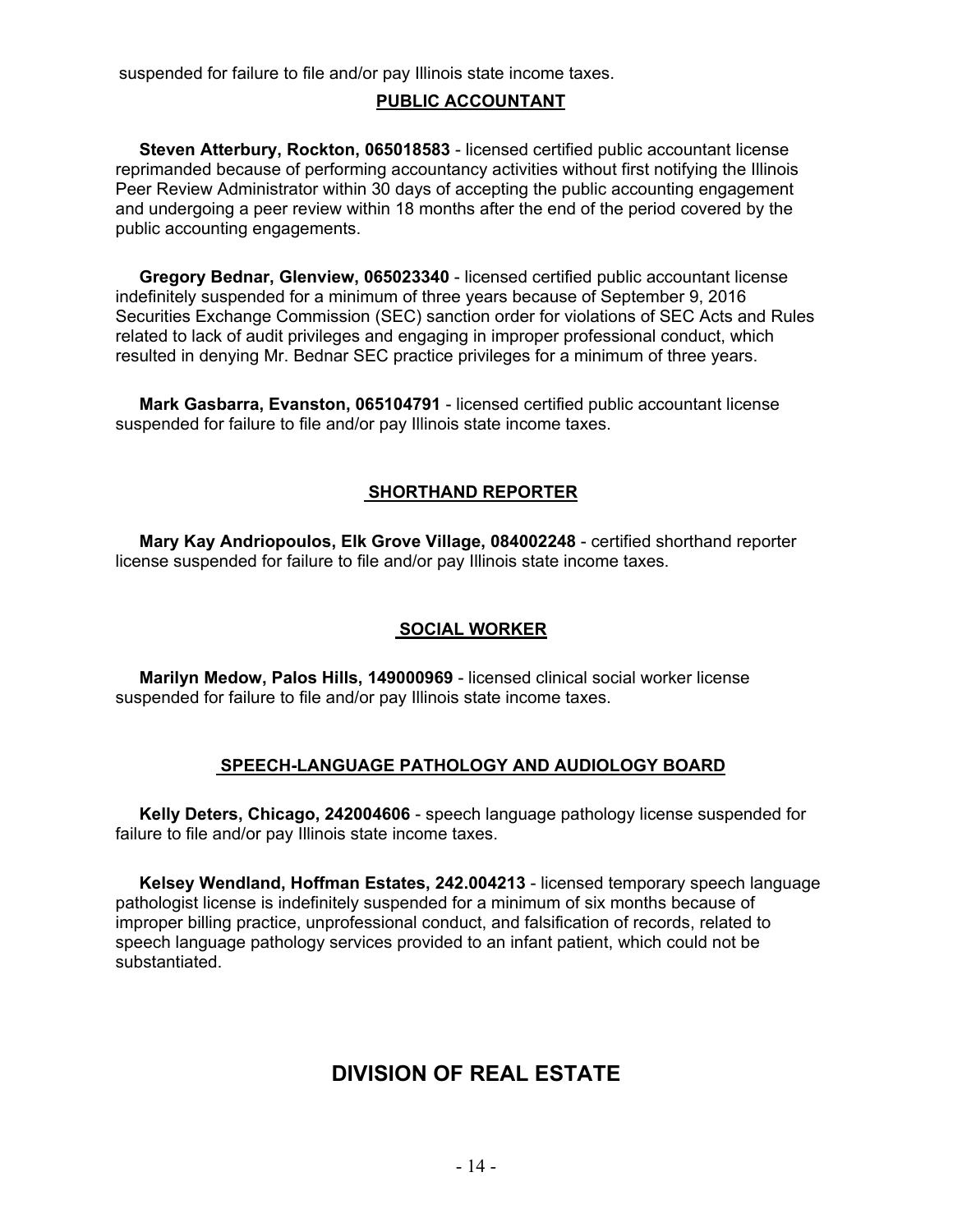suspended for failure to file and/or pay Illinois state income taxes.

#### **PUBLIC ACCOUNTANT**

 **Steven Atterbury, Rockton, 065018583** - licensed certified public accountant license reprimanded because of performing accountancy activities without first notifying the Illinois Peer Review Administrator within 30 days of accepting the public accounting engagement and undergoing a peer review within 18 months after the end of the period covered by the public accounting engagements.

 **Gregory Bednar, Glenview, 065023340** - licensed certified public accountant license indefinitely suspended for a minimum of three years because of September 9, 2016 Securities Exchange Commission (SEC) sanction order for violations of SEC Acts and Rules related to lack of audit privileges and engaging in improper professional conduct, which resulted in denying Mr. Bednar SEC practice privileges for a minimum of three years.

 **Mark Gasbarra, Evanston, 065104791** - licensed certified public accountant license suspended for failure to file and/or pay Illinois state income taxes.

#### **SHORTHAND REPORTER**

 **Mary Kay Andriopoulos, Elk Grove Village, 084002248** - certified shorthand reporter license suspended for failure to file and/or pay Illinois state income taxes.

#### **SOCIAL WORKER**

 **Marilyn Medow, Palos Hills, 149000969** - licensed clinical social worker license suspended for failure to file and/or pay Illinois state income taxes.

#### **SPEECH-LANGUAGE PATHOLOGY AND AUDIOLOGY BOARD**

 **Kelly Deters, Chicago, 242004606** - speech language pathology license suspended for failure to file and/or pay Illinois state income taxes.

 **Kelsey Wendland, Hoffman Estates, 242.004213** - licensed temporary speech language pathologist license is indefinitely suspended for a minimum of six months because of improper billing practice, unprofessional conduct, and falsification of records, related to speech language pathology services provided to an infant patient, which could not be substantiated.

### **DIVISION OF REAL ESTATE**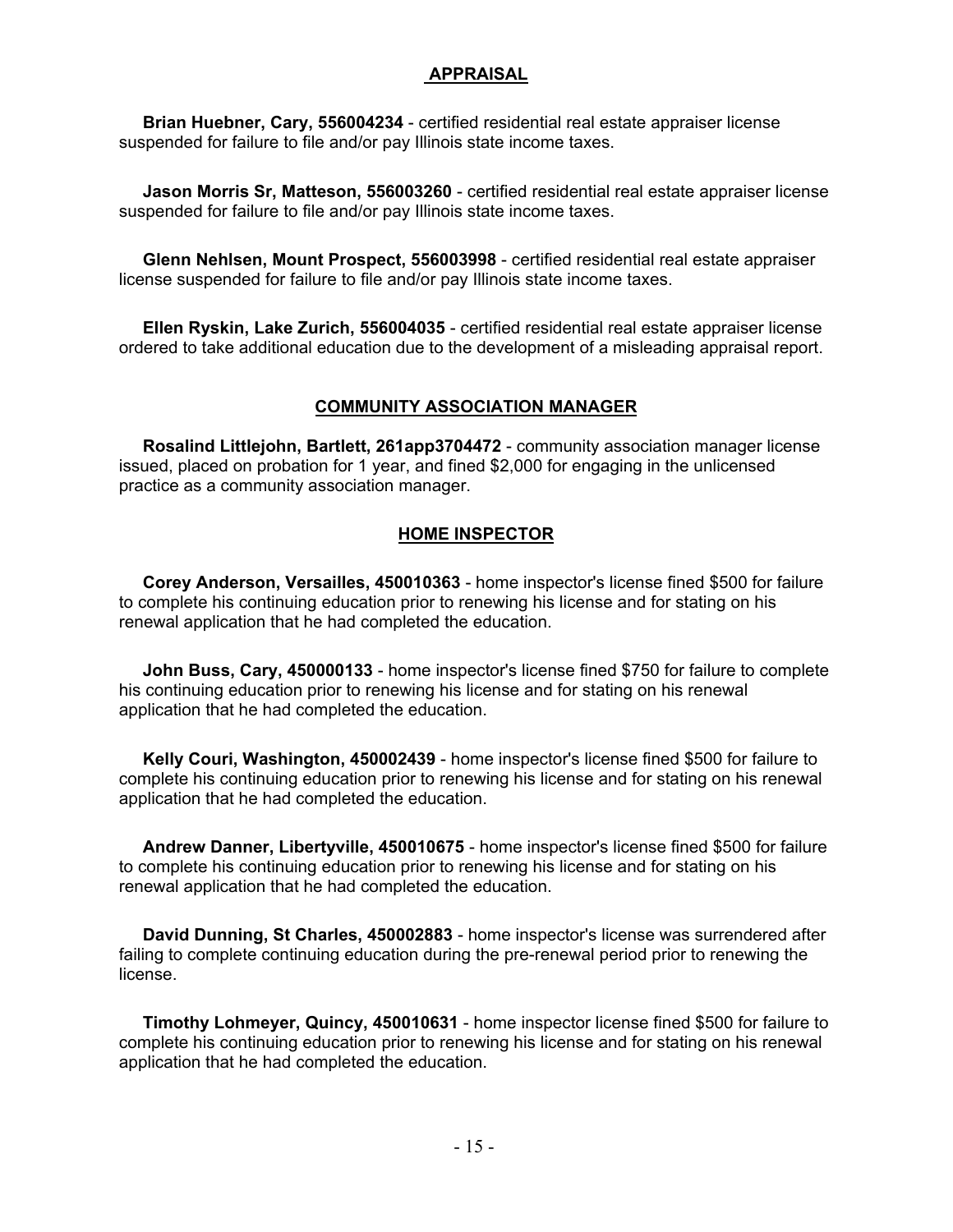#### **APPRAISAL**

 **Brian Huebner, Cary, 556004234** - certified residential real estate appraiser license suspended for failure to file and/or pay Illinois state income taxes.

 **Jason Morris Sr, Matteson, 556003260** - certified residential real estate appraiser license suspended for failure to file and/or pay Illinois state income taxes.

 **Glenn Nehlsen, Mount Prospect, 556003998** - certified residential real estate appraiser license suspended for failure to file and/or pay Illinois state income taxes.

 **Ellen Ryskin, Lake Zurich, 556004035** - certified residential real estate appraiser license ordered to take additional education due to the development of a misleading appraisal report.

#### **COMMUNITY ASSOCIATION MANAGER**

 **Rosalind Littlejohn, Bartlett, 261app3704472** - community association manager license issued, placed on probation for 1 year, and fined \$2,000 for engaging in the unlicensed practice as a community association manager.

#### **HOME INSPECTOR**

 **Corey Anderson, Versailles, 450010363** - home inspector's license fined \$500 for failure to complete his continuing education prior to renewing his license and for stating on his renewal application that he had completed the education.

 **John Buss, Cary, 450000133** - home inspector's license fined \$750 for failure to complete his continuing education prior to renewing his license and for stating on his renewal application that he had completed the education.

 **Kelly Couri, Washington, 450002439** - home inspector's license fined \$500 for failure to complete his continuing education prior to renewing his license and for stating on his renewal application that he had completed the education.

 **Andrew Danner, Libertyville, 450010675** - home inspector's license fined \$500 for failure to complete his continuing education prior to renewing his license and for stating on his renewal application that he had completed the education.

 **David Dunning, St Charles, 450002883** - home inspector's license was surrendered after failing to complete continuing education during the pre-renewal period prior to renewing the license.

 **Timothy Lohmeyer, Quincy, 450010631** - home inspector license fined \$500 for failure to complete his continuing education prior to renewing his license and for stating on his renewal application that he had completed the education.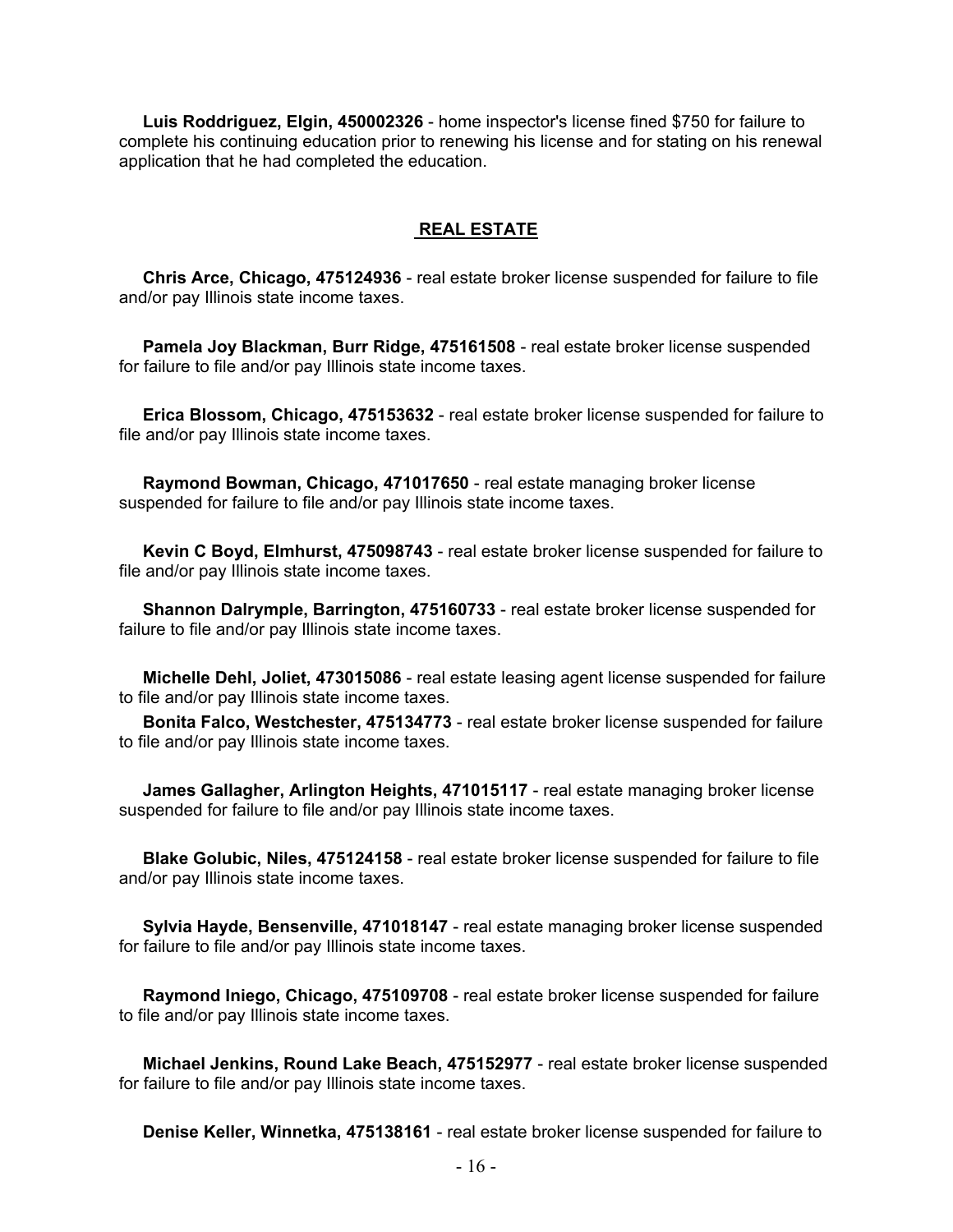**Luis Roddriguez, Elgin, 450002326** - home inspector's license fined \$750 for failure to complete his continuing education prior to renewing his license and for stating on his renewal application that he had completed the education.

#### **REAL ESTATE**

 **Chris Arce, Chicago, 475124936** - real estate broker license suspended for failure to file and/or pay Illinois state income taxes.

 **Pamela Joy Blackman, Burr Ridge, 475161508** - real estate broker license suspended for failure to file and/or pay Illinois state income taxes.

 **Erica Blossom, Chicago, 475153632** - real estate broker license suspended for failure to file and/or pay Illinois state income taxes.

 **Raymond Bowman, Chicago, 471017650** - real estate managing broker license suspended for failure to file and/or pay Illinois state income taxes.

 **Kevin C Boyd, Elmhurst, 475098743** - real estate broker license suspended for failure to file and/or pay Illinois state income taxes.

 **Shannon Dalrymple, Barrington, 475160733** - real estate broker license suspended for failure to file and/or pay Illinois state income taxes.

 **Michelle Dehl, Joliet, 473015086** - real estate leasing agent license suspended for failure to file and/or pay Illinois state income taxes.

 **Bonita Falco, Westchester, 475134773** - real estate broker license suspended for failure to file and/or pay Illinois state income taxes.

 **James Gallagher, Arlington Heights, 471015117** - real estate managing broker license suspended for failure to file and/or pay Illinois state income taxes.

 **Blake Golubic, Niles, 475124158** - real estate broker license suspended for failure to file and/or pay Illinois state income taxes.

 **Sylvia Hayde, Bensenville, 471018147** - real estate managing broker license suspended for failure to file and/or pay Illinois state income taxes.

 **Raymond Iniego, Chicago, 475109708** - real estate broker license suspended for failure to file and/or pay Illinois state income taxes.

 **Michael Jenkins, Round Lake Beach, 475152977** - real estate broker license suspended for failure to file and/or pay Illinois state income taxes.

**Denise Keller, Winnetka, 475138161** - real estate broker license suspended for failure to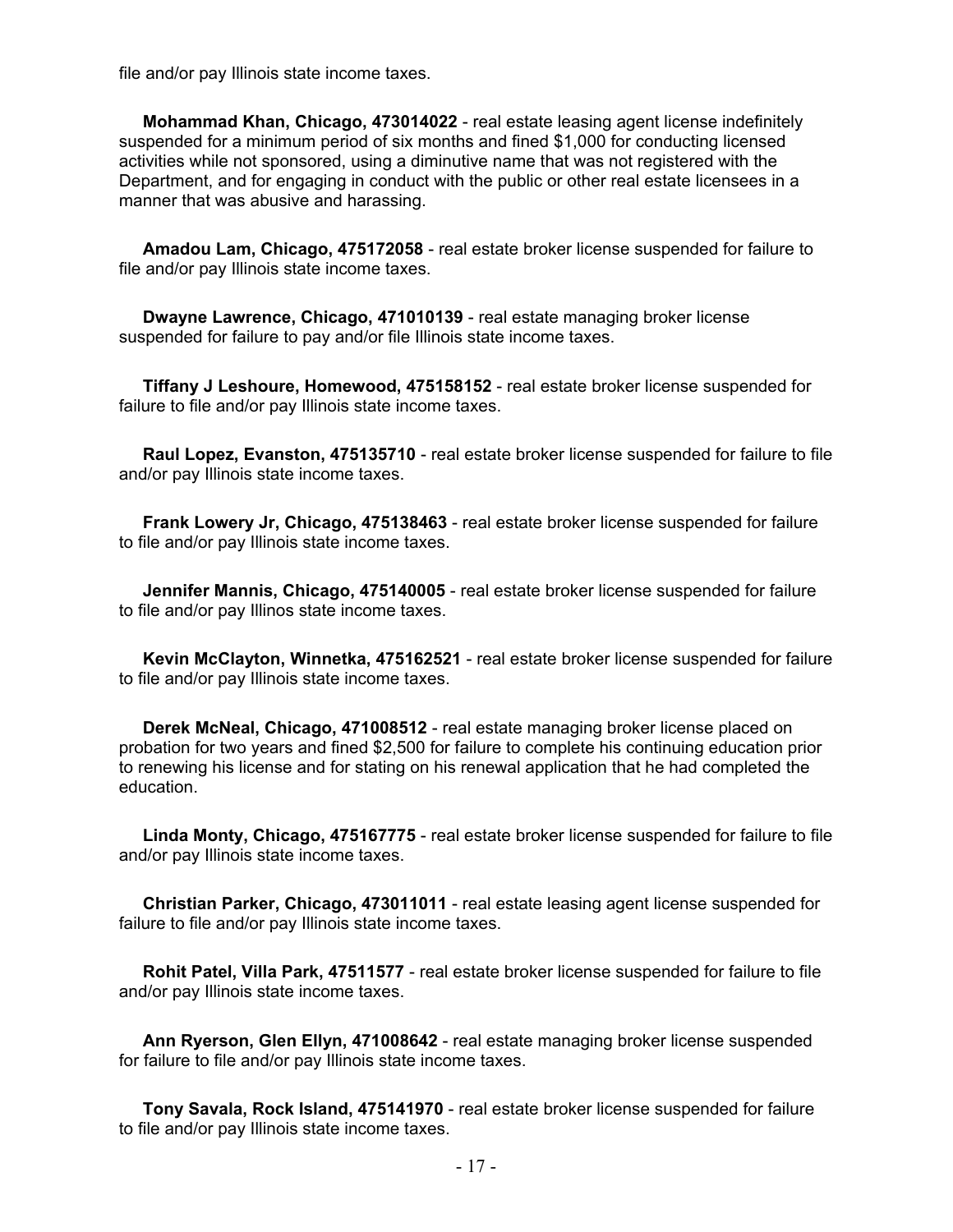file and/or pay Illinois state income taxes.

 **Mohammad Khan, Chicago, 473014022** - real estate leasing agent license indefinitely suspended for a minimum period of six months and fined \$1,000 for conducting licensed activities while not sponsored, using a diminutive name that was not registered with the Department, and for engaging in conduct with the public or other real estate licensees in a manner that was abusive and harassing.

 **Amadou Lam, Chicago, 475172058** - real estate broker license suspended for failure to file and/or pay Illinois state income taxes.

 **Dwayne Lawrence, Chicago, 471010139** - real estate managing broker license suspended for failure to pay and/or file Illinois state income taxes.

 **Tiffany J Leshoure, Homewood, 475158152** - real estate broker license suspended for failure to file and/or pay Illinois state income taxes.

 **Raul Lopez, Evanston, 475135710** - real estate broker license suspended for failure to file and/or pay Illinois state income taxes.

 **Frank Lowery Jr, Chicago, 475138463** - real estate broker license suspended for failure to file and/or pay Illinois state income taxes.

 **Jennifer Mannis, Chicago, 475140005** - real estate broker license suspended for failure to file and/or pay Illinos state income taxes.

 **Kevin McClayton, Winnetka, 475162521** - real estate broker license suspended for failure to file and/or pay Illinois state income taxes.

 **Derek McNeal, Chicago, 471008512** - real estate managing broker license placed on probation for two years and fined \$2,500 for failure to complete his continuing education prior to renewing his license and for stating on his renewal application that he had completed the education.

 **Linda Monty, Chicago, 475167775** - real estate broker license suspended for failure to file and/or pay Illinois state income taxes.

 **Christian Parker, Chicago, 473011011** - real estate leasing agent license suspended for failure to file and/or pay Illinois state income taxes.

 **Rohit Patel, Villa Park, 47511577** - real estate broker license suspended for failure to file and/or pay Illinois state income taxes.

 **Ann Ryerson, Glen Ellyn, 471008642** - real estate managing broker license suspended for failure to file and/or pay Illinois state income taxes.

 **Tony Savala, Rock Island, 475141970** - real estate broker license suspended for failure to file and/or pay Illinois state income taxes.